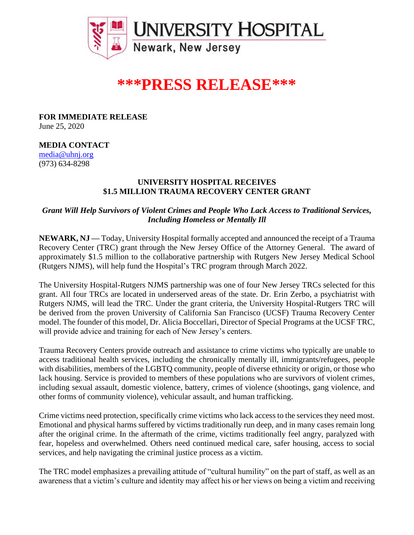

## **\*\*\*PRESS RELEASE\*\*\***

**FOR IMMEDIATE RELEASE** June 25, 2020

## **MEDIA CONTACT**

[media@uhnj.org](about:blank) (973) 634-8298

## **UNIVERSITY HOSPITAL RECEIVES \$1.5 MILLION TRAUMA RECOVERY CENTER GRANT**

*Grant Will Help Survivors of Violent Crimes and People Who Lack Access to Traditional Services, Including Homeless or Mentally Ill*

**NEWARK, NJ —** Today, University Hospital formally accepted and announced the receipt of a Trauma Recovery Center (TRC) grant through the New Jersey Office of the Attorney General. The award of approximately \$1.5 million to the collaborative partnership with Rutgers New Jersey Medical School (Rutgers NJMS), will help fund the Hospital's TRC program through March 2022.

The University Hospital-Rutgers NJMS partnership was one of four New Jersey TRCs selected for this grant. All four TRCs are located in underserved areas of the state. Dr. Erin Zerbo, a psychiatrist with Rutgers NJMS, will lead the TRC. Under the grant criteria, the University Hospital-Rutgers TRC will be derived from the proven University of California San Francisco (UCSF) Trauma Recovery Center model. The founder of this model, Dr. Alicia Boccellari, Director of Special Programs at the UCSF TRC, will provide advice and training for each of New Jersey's centers.

Trauma Recovery Centers provide outreach and assistance to crime victims who typically are unable to access traditional health services, including the chronically mentally ill, immigrants/refugees, people with disabilities, members of the LGBTQ community, people of diverse ethnicity or origin, or those who lack housing. Service is provided to members of these populations who are survivors of violent crimes, including sexual assault, domestic violence, battery, crimes of violence (shootings, gang violence, and other forms of community violence), vehicular assault, and human trafficking.

Crime victims need protection, specifically crime victims who lack access to the services they need most. Emotional and physical harms suffered by victims traditionally run deep, and in many cases remain long after the original crime. In the aftermath of the crime, victims traditionally feel angry, paralyzed with fear, hopeless and overwhelmed. Others need continued medical care, safer housing, access to social services, and help navigating the criminal justice process as a victim.

The TRC model emphasizes a prevailing attitude of "cultural humility" on the part of staff, as well as an awareness that a victim's culture and identity may affect his or her views on being a victim and receiving